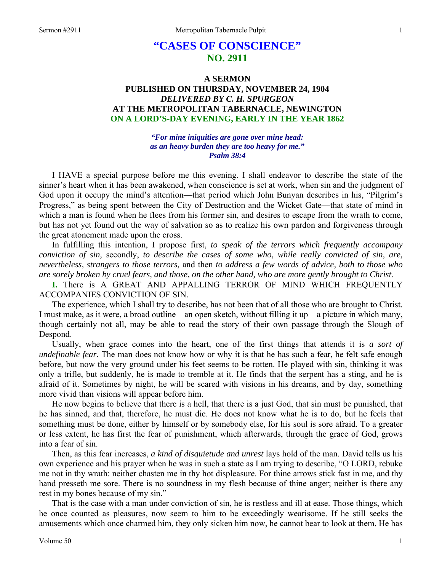# **"CASES OF CONSCIENCE" NO. 2911**

## **A SERMON PUBLISHED ON THURSDAY, NOVEMBER 24, 1904**  *DELIVERED BY C. H. SPURGEON*  **AT THE METROPOLITAN TABERNACLE, NEWINGTON ON A LORD'S-DAY EVENING, EARLY IN THE YEAR 1862**

*"For mine iniquities are gone over mine head: as an heavy burden they are too heavy for me." Psalm 38:4* 

I HAVE a special purpose before me this evening. I shall endeavor to describe the state of the sinner's heart when it has been awakened, when conscience is set at work, when sin and the judgment of God upon it occupy the mind's attention—that period which John Bunyan describes in his, "Pilgrim's Progress," as being spent between the City of Destruction and the Wicket Gate—that state of mind in which a man is found when he flees from his former sin, and desires to escape from the wrath to come, but has not yet found out the way of salvation so as to realize his own pardon and forgiveness through the great atonement made upon the cross.

In fulfilling this intention, I propose first, *to speak of the terrors which frequently accompany conviction of sin,* secondly, *to describe the cases of some who, while really convicted of sin, are, nevertheless, strangers to those terrors,* and then *to address a few words of advice, both to those who are sorely broken by cruel fears, and those, on the other hand, who are more gently brought to Christ.* 

**I.** There is A GREAT AND APPALLING TERROR OF MIND WHICH FREQUENTLY ACCOMPANIES CONVICTION OF SIN.

The experience, which I shall try to describe, has not been that of all those who are brought to Christ. I must make, as it were, a broad outline—an open sketch, without filling it up—a picture in which many, though certainly not all, may be able to read the story of their own passage through the Slough of Despond.

Usually, when grace comes into the heart, one of the first things that attends it is *a sort of undefinable fear*. The man does not know how or why it is that he has such a fear, he felt safe enough before, but now the very ground under his feet seems to be rotten. He played with sin, thinking it was only a trifle, but suddenly, he is made to tremble at it. He finds that the serpent has a sting, and he is afraid of it. Sometimes by night, he will be scared with visions in his dreams, and by day, something more vivid than visions will appear before him.

He now begins to believe that there is a hell, that there is a just God, that sin must be punished, that he has sinned, and that, therefore, he must die. He does not know what he is to do, but he feels that something must be done, either by himself or by somebody else, for his soul is sore afraid. To a greater or less extent, he has first the fear of punishment, which afterwards, through the grace of God, grows into a fear of sin.

Then, as this fear increases, *a kind of disquietude and unrest* lays hold of the man. David tells us his own experience and his prayer when he was in such a state as I am trying to describe, "O LORD, rebuke me not in thy wrath: neither chasten me in thy hot displeasure. For thine arrows stick fast in me, and thy hand presseth me sore. There is no soundness in my flesh because of thine anger; neither is there any rest in my bones because of my sin."

That is the case with a man under conviction of sin, he is restless and ill at ease. Those things, which he once counted as pleasures, now seem to him to be exceedingly wearisome. If he still seeks the amusements which once charmed him, they only sicken him now, he cannot bear to look at them. He has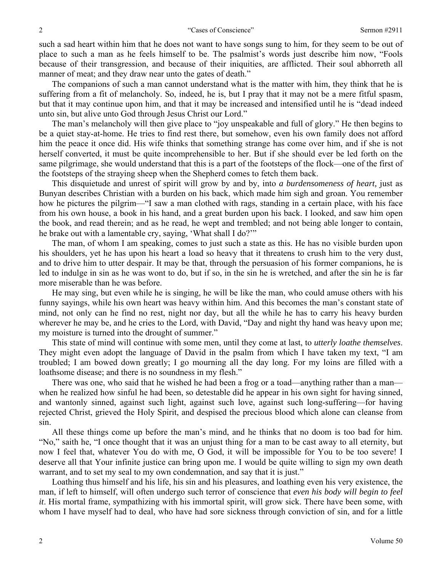such a sad heart within him that he does not want to have songs sung to him, for they seem to be out of place to such a man as he feels himself to be. The psalmist's words just describe him now, "Fools because of their transgression, and because of their iniquities, are afflicted. Their soul abhorreth all manner of meat; and they draw near unto the gates of death."

The companions of such a man cannot understand what is the matter with him, they think that he is suffering from a fit of melancholy. So, indeed, he is, but I pray that it may not be a mere fitful spasm, but that it may continue upon him, and that it may be increased and intensified until he is "dead indeed unto sin, but alive unto God through Jesus Christ our Lord."

The man's melancholy will then give place to "joy unspeakable and full of glory." He then begins to be a quiet stay-at-home. He tries to find rest there, but somehow, even his own family does not afford him the peace it once did. His wife thinks that something strange has come over him, and if she is not herself converted, it must be quite incomprehensible to her. But if she should ever be led forth on the same pilgrimage, she would understand that this is a part of the footsteps of the flock—one of the first of the footsteps of the straying sheep when the Shepherd comes to fetch them back.

This disquietude and unrest of spirit will grow by and by, into *a burdensomeness of heart,* just as Bunyan describes Christian with a burden on his back, which made him sigh and groan. You remember how he pictures the pilgrim—"I saw a man clothed with rags, standing in a certain place, with his face from his own house, a book in his hand, and a great burden upon his back. I looked, and saw him open the book, and read therein; and as he read, he wept and trembled; and not being able longer to contain, he brake out with a lamentable cry, saying, 'What shall I do?'"

The man, of whom I am speaking, comes to just such a state as this. He has no visible burden upon his shoulders, yet he has upon his heart a load so heavy that it threatens to crush him to the very dust, and to drive him to utter despair. It may be that, through the persuasion of his former companions, he is led to indulge in sin as he was wont to do, but if so, in the sin he is wretched, and after the sin he is far more miserable than he was before.

He may sing, but even while he is singing, he will be like the man, who could amuse others with his funny sayings, while his own heart was heavy within him. And this becomes the man's constant state of mind, not only can he find no rest, night nor day, but all the while he has to carry his heavy burden wherever he may be, and he cries to the Lord, with David, "Day and night thy hand was heavy upon me; my moisture is turned into the drought of summer."

This state of mind will continue with some men, until they come at last, to *utterly loathe themselves*. They might even adopt the language of David in the psalm from which I have taken my text, "I am troubled; I am bowed down greatly; I go mourning all the day long. For my loins are filled with a loathsome disease; and there is no soundness in my flesh."

There was one, who said that he wished he had been a frog or a toad—anything rather than a man when he realized how sinful he had been, so detestable did he appear in his own sight for having sinned, and wantonly sinned, against such light, against such love, against such long-suffering—for having rejected Christ, grieved the Holy Spirit, and despised the precious blood which alone can cleanse from sin.

All these things come up before the man's mind, and he thinks that no doom is too bad for him. "No," saith he, "I once thought that it was an unjust thing for a man to be cast away to all eternity, but now I feel that, whatever You do with me, O God, it will be impossible for You to be too severe! I deserve all that Your infinite justice can bring upon me. I would be quite willing to sign my own death warrant, and to set my seal to my own condemnation, and say that it is just."

Loathing thus himself and his life, his sin and his pleasures, and loathing even his very existence, the man, if left to himself, will often undergo such terror of conscience that *even his body will begin to feel it*. His mortal frame, sympathizing with his immortal spirit, will grow sick. There have been some, with whom I have myself had to deal, who have had sore sickness through conviction of sin, and for a little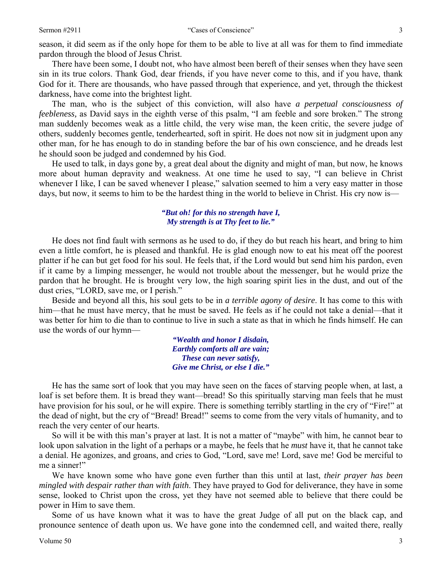season, it did seem as if the only hope for them to be able to live at all was for them to find immediate pardon through the blood of Jesus Christ.

There have been some, I doubt not, who have almost been bereft of their senses when they have seen sin in its true colors. Thank God, dear friends, if you have never come to this, and if you have, thank God for it. There are thousands, who have passed through that experience, and yet, through the thickest darkness, have come into the brightest light.

The man, who is the subject of this conviction, will also have *a perpetual consciousness of feebleness,* as David says in the eighth verse of this psalm, "I am feeble and sore broken." The strong man suddenly becomes weak as a little child, the very wise man, the keen critic, the severe judge of others, suddenly becomes gentle, tenderhearted, soft in spirit. He does not now sit in judgment upon any other man, for he has enough to do in standing before the bar of his own conscience, and he dreads lest he should soon be judged and condemned by his God.

He used to talk, in days gone by, a great deal about the dignity and might of man, but now, he knows more about human depravity and weakness. At one time he used to say, "I can believe in Christ whenever I like, I can be saved whenever I please," salvation seemed to him a very easy matter in those days, but now, it seems to him to be the hardest thing in the world to believe in Christ. His cry now is—

### *"But oh! for this no strength have I, My strength is at Thy feet to lie."*

He does not find fault with sermons as he used to do, if they do but reach his heart, and bring to him even a little comfort, he is pleased and thankful. He is glad enough now to eat his meat off the poorest platter if he can but get food for his soul. He feels that, if the Lord would but send him his pardon, even if it came by a limping messenger, he would not trouble about the messenger, but he would prize the pardon that he brought. He is brought very low, the high soaring spirit lies in the dust, and out of the dust cries, "LORD, save me, or I perish."

Beside and beyond all this, his soul gets to be in *a terrible agony of desire*. It has come to this with him—that he must have mercy, that he must be saved. He feels as if he could not take a denial—that it was better for him to die than to continue to live in such a state as that in which he finds himself. He can use the words of our hymn—

> *"Wealth and honor I disdain, Earthly comforts all are vain; These can never satisfy, Give me Christ, or else I die."*

He has the same sort of look that you may have seen on the faces of starving people when, at last, a loaf is set before them. It is bread they want—bread! So this spiritually starving man feels that he must have provision for his soul, or he will expire. There is something terribly startling in the cry of "Fire!" at the dead of night, but the cry of "Bread! Bread!" seems to come from the very vitals of humanity, and to reach the very center of our hearts.

So will it be with this man's prayer at last. It is not a matter of "maybe" with him, he cannot bear to look upon salvation in the light of a perhaps or a maybe, he feels that he *must* have it, that he cannot take a denial. He agonizes, and groans, and cries to God, "Lord, save me! Lord, save me! God be merciful to me a sinner!"

We have known some who have gone even further than this until at last, *their prayer has been mingled with despair rather than with faith*. They have prayed to God for deliverance, they have in some sense, looked to Christ upon the cross, yet they have not seemed able to believe that there could be power in Him to save them.

Some of us have known what it was to have the great Judge of all put on the black cap, and pronounce sentence of death upon us. We have gone into the condemned cell, and waited there, really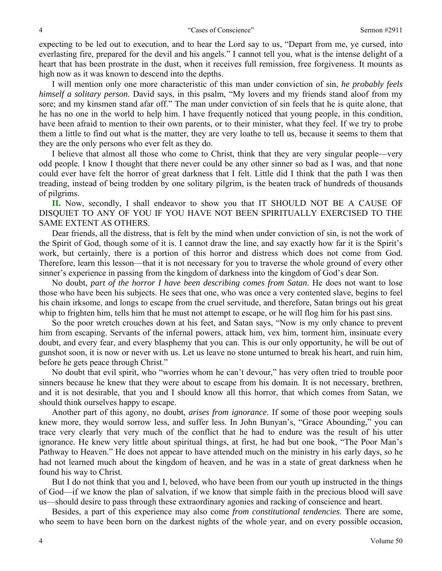expecting to be led out to execution, and to hear the Lord say to us, "Depart from me, ye cursed, into everlasting fire, prepared for the devil and his angels." I cannot tell you, what is the intense delight of a heart that has been prostrate in the dust, when it receives full remission, free forgiveness. It mounts as high now as it was known to descend into the depths.

I will mention only one more characteristic of this man under conviction of sin, *he probably feels himself a solitary person*. David says, in this psalm, "My lovers and my friends stand aloof from my sore; and my kinsmen stand afar off." The man under conviction of sin feels that he is quite alone, that he has no one in the world to help him. I have frequently noticed that young people, in this condition, have been afraid to mention to their own parents, or to their minister, what they feel. If we try to probe them a little to find out what is the matter, they are very loathe to tell us, because it seems to them that they are the only persons who ever felt as they do.

I believe that almost all those who come to Christ, think that they are very singular people—very odd people. I know I thought that there never could be any other sinner so bad as I was, and that none could ever have felt the horror of great darkness that I felt. Little did I think that the path I was then treading, instead of being trodden by one solitary pilgrim, is the beaten track of hundreds of thousands of pilgrims.

**II.** Now, secondly, I shall endeavor to show you that IT SHOULD NOT BE A CAUSE OF DISQUIET TO ANY OF YOU IF YOU HAVE NOT BEEN SPIRITUALLY EXERCISED TO THE SAME EXTENT AS OTHERS.

Dear friends, all the distress, that is felt by the mind when under conviction of sin, is not the work of the Spirit of God, though some of it is. I cannot draw the line, and say exactly how far it is the Spirit's work, but certainly, there is a portion of this horror and distress which does not come from God. Therefore, learn this lesson—that it is not necessary for you to traverse the whole ground of every other sinner's experience in passing from the kingdom of darkness into the kingdom of God's dear Son.

No doubt, *part of the horror I have been describing comes from Satan*. He does not want to lose those who have been his subjects. He sees that one, who was once a very contented slave, begins to feel his chain irksome, and longs to escape from the cruel servitude, and therefore, Satan brings out his great whip to frighten him, tells him that he must not attempt to escape, or he will flog him for his past sins.

So the poor wretch crouches down at his feet, and Satan says, "Now is my only chance to prevent him from escaping. Servants of the infernal powers, attack him, vex him, torment him, insinuate every doubt, and every fear, and every blasphemy that you can. This is our only opportunity, he will be out of gunshot soon, it is now or never with us. Let us leave no stone unturned to break his heart, and ruin him, before he gets peace through Christ."

No doubt that evil spirit, who "worries whom he can't devour," has very often tried to trouble poor sinners because he knew that they were about to escape from his domain. It is not necessary, brethren, and it is not desirable, that you and I should know all this horror, that which comes from Satan, we should think ourselves happy to escape.

Another part of this agony, no doubt, *arises from ignorance*. If some of those poor weeping souls knew more, they would sorrow less, and suffer less. In John Bunyan's, "Grace Abounding," you can trace very clearly that very much of the conflict that he had to endure was the result of his utter ignorance. He knew very little about spiritual things, at first, he had but one book, "The Poor Man's Pathway to Heaven." He does not appear to have attended much on the ministry in his early days, so he had not learned much about the kingdom of heaven, and he was in a state of great darkness when he found his way to Christ.

But I do not think that you and I, beloved, who have been from our youth up instructed in the things of God—if we know the plan of salvation, if we know that simple faith in the precious blood will save us—should desire to pass through these extraordinary agonies and racking of conscience and heart.

Besides, a part of this experience may also come *from constitutional tendencies*. There are some, who seem to have been born on the darkest nights of the whole year, and on every possible occasion,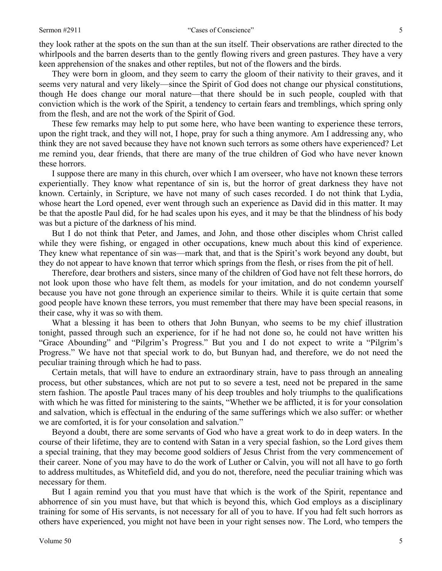they look rather at the spots on the sun than at the sun itself. Their observations are rather directed to the whirlpools and the barren deserts than to the gently flowing rivers and green pastures. They have a very keen apprehension of the snakes and other reptiles, but not of the flowers and the birds.

They were born in gloom, and they seem to carry the gloom of their nativity to their graves, and it seems very natural and very likely—since the Spirit of God does not change our physical constitutions, though He does change our moral nature—that there should be in such people, coupled with that conviction which is the work of the Spirit, a tendency to certain fears and tremblings, which spring only from the flesh, and are not the work of the Spirit of God.

These few remarks may help to put some here, who have been wanting to experience these terrors, upon the right track, and they will not, I hope, pray for such a thing anymore. Am I addressing any, who think they are not saved because they have not known such terrors as some others have experienced? Let me remind you, dear friends, that there are many of the true children of God who have never known these horrors.

I suppose there are many in this church, over which I am overseer, who have not known these terrors experientially. They know what repentance of sin is, but the horror of great darkness they have not known. Certainly, in Scripture, we have not many of such cases recorded. I do not think that Lydia, whose heart the Lord opened, ever went through such an experience as David did in this matter. It may be that the apostle Paul did, for he had scales upon his eyes, and it may be that the blindness of his body was but a picture of the darkness of his mind.

But I do not think that Peter, and James, and John, and those other disciples whom Christ called while they were fishing, or engaged in other occupations, knew much about this kind of experience. They knew what repentance of sin was—mark that, and that is the Spirit's work beyond any doubt, but they do not appear to have known that terror which springs from the flesh, or rises from the pit of hell.

Therefore, dear brothers and sisters, since many of the children of God have not felt these horrors, do not look upon those who have felt them, as models for your imitation, and do not condemn yourself because you have not gone through an experience similar to theirs. While it is quite certain that some good people have known these terrors, you must remember that there may have been special reasons, in their case, why it was so with them.

What a blessing it has been to others that John Bunyan, who seems to be my chief illustration tonight, passed through such an experience, for if he had not done so, he could not have written his "Grace Abounding" and "Pilgrim's Progress." But you and I do not expect to write a "Pilgrim's Progress." We have not that special work to do, but Bunyan had, and therefore, we do not need the peculiar training through which he had to pass.

Certain metals, that will have to endure an extraordinary strain, have to pass through an annealing process, but other substances, which are not put to so severe a test, need not be prepared in the same stern fashion. The apostle Paul traces many of his deep troubles and holy triumphs to the qualifications with which he was fitted for ministering to the saints, "Whether we be afflicted, it is for your consolation and salvation, which is effectual in the enduring of the same sufferings which we also suffer: or whether we are comforted, it is for your consolation and salvation."

Beyond a doubt, there are some servants of God who have a great work to do in deep waters. In the course of their lifetime, they are to contend with Satan in a very special fashion, so the Lord gives them a special training, that they may become good soldiers of Jesus Christ from the very commencement of their career. None of you may have to do the work of Luther or Calvin, you will not all have to go forth to address multitudes, as Whitefield did, and you do not, therefore, need the peculiar training which was necessary for them.

But I again remind you that you must have that which is the work of the Spirit, repentance and abhorrence of sin you must have, but that which is beyond this, which God employs as a disciplinary training for some of His servants, is not necessary for all of you to have. If you had felt such horrors as others have experienced, you might not have been in your right senses now. The Lord, who tempers the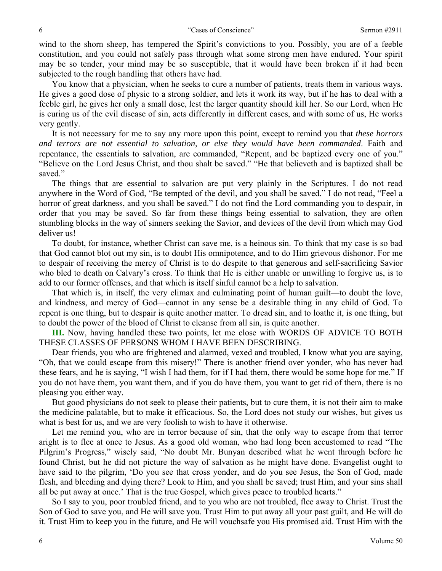wind to the shorn sheep, has tempered the Spirit's convictions to you. Possibly, you are of a feeble constitution, and you could not safely pass through what some strong men have endured. Your spirit may be so tender, your mind may be so susceptible, that it would have been broken if it had been subjected to the rough handling that others have had.

You know that a physician, when he seeks to cure a number of patients, treats them in various ways. He gives a good dose of physic to a strong soldier, and lets it work its way, but if he has to deal with a feeble girl, he gives her only a small dose, lest the larger quantity should kill her. So our Lord, when He is curing us of the evil disease of sin, acts differently in different cases, and with some of us, He works very gently.

It is not necessary for me to say any more upon this point, except to remind you that *these horrors and terrors are not essential to salvation, or else they would have been commanded*. Faith and repentance, the essentials to salvation, are commanded, "Repent, and be baptized every one of you." "Believe on the Lord Jesus Christ, and thou shalt be saved." "He that believeth and is baptized shall be saved."

The things that are essential to salvation are put very plainly in the Scriptures. I do not read anywhere in the Word of God, "Be tempted of the devil, and you shall be saved." I do not read, "Feel a horror of great darkness, and you shall be saved." I do not find the Lord commanding you to despair, in order that you may be saved. So far from these things being essential to salvation, they are often stumbling blocks in the way of sinners seeking the Savior, and devices of the devil from which may God deliver us!

To doubt, for instance, whether Christ can save me, is a heinous sin. To think that my case is so bad that God cannot blot out my sin, is to doubt His omnipotence, and to do Him grievous dishonor. For me to despair of receiving the mercy of Christ is to do despite to that generous and self-sacrificing Savior who bled to death on Calvary's cross. To think that He is either unable or unwilling to forgive us, is to add to our former offenses, and that which is itself sinful cannot be a help to salvation.

That which is, in itself, the very climax and culminating point of human guilt—to doubt the love, and kindness, and mercy of God—cannot in any sense be a desirable thing in any child of God. To repent is one thing, but to despair is quite another matter. To dread sin, and to loathe it, is one thing, but to doubt the power of the blood of Christ to cleanse from all sin, is quite another.

**III.** Now, having handled these two points, let me close with WORDS OF ADVICE TO BOTH THESE CLASSES OF PERSONS WHOM I HAVE BEEN DESCRIBING.

Dear friends, you who are frightened and alarmed, vexed and troubled, I know what you are saying, "Oh, that we could escape from this misery!" There is another friend over yonder, who has never had these fears, and he is saying, "I wish I had them, for if I had them, there would be some hope for me." If you do not have them, you want them, and if you do have them, you want to get rid of them, there is no pleasing you either way.

But good physicians do not seek to please their patients, but to cure them, it is not their aim to make the medicine palatable, but to make it efficacious. So, the Lord does not study our wishes, but gives us what is best for us, and we are very foolish to wish to have it otherwise.

Let me remind you, who are in terror because of sin, that the only way to escape from that terror aright is to flee at once to Jesus. As a good old woman, who had long been accustomed to read "The Pilgrim's Progress," wisely said, "No doubt Mr. Bunyan described what he went through before he found Christ, but he did not picture the way of salvation as he might have done. Evangelist ought to have said to the pilgrim, 'Do you see that cross yonder, and do you see Jesus, the Son of God, made flesh, and bleeding and dying there? Look to Him, and you shall be saved; trust Him, and your sins shall all be put away at once.' That is the true Gospel, which gives peace to troubled hearts."

So I say to you, poor troubled friend, and to you who are not troubled, flee away to Christ. Trust the Son of God to save you, and He will save you. Trust Him to put away all your past guilt, and He will do it. Trust Him to keep you in the future, and He will vouchsafe you His promised aid. Trust Him with the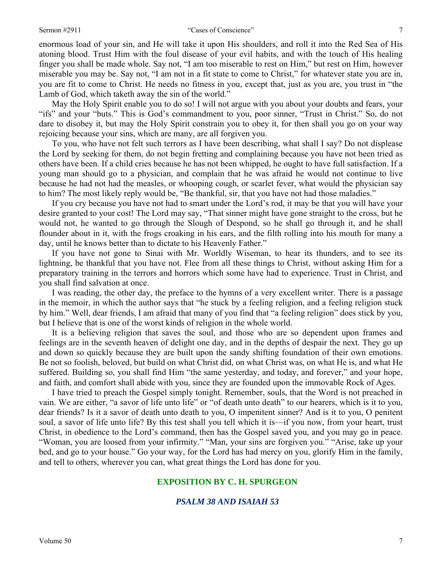#### Sermon #2911 The Cases of Conscience" and the Cases of Conscience  $\frac{7}{7}$

enormous load of your sin, and He will take it upon His shoulders, and roll it into the Red Sea of His atoning blood. Trust Him with the foul disease of your evil habits, and with the touch of His healing finger you shall be made whole. Say not, "I am too miserable to rest on Him," but rest on Him, however miserable you may be. Say not, "I am not in a fit state to come to Christ," for whatever state you are in, you are fit to come to Christ. He needs no fitness in you, except that, just as you are, you trust in "the Lamb of God, which taketh away the sin of the world."

May the Holy Spirit enable you to do so! I will not argue with you about your doubts and fears, your "ifs" and your "buts." This is God's commandment to you, poor sinner, "Trust in Christ." So, do not dare to disobey it, but may the Holy Spirit constrain you to obey it, for then shall you go on your way rejoicing because your sins, which are many, are all forgiven you.

To you, who have not felt such terrors as I have been describing, what shall I say? Do not displease the Lord by seeking for them, do not begin fretting and complaining because you have not been tried as others have been. If a child cries because he has not been whipped, he ought to have full satisfaction. If a young man should go to a physician, and complain that he was afraid he would not continue to live because he had not had the measles, or whooping cough, or scarlet fever, what would the physician say to him? The most likely reply would be, "Be thankful, sir, that you have not had those maladies."

If you cry because you have not had to smart under the Lord's rod, it may be that you will have your desire granted to your cost! The Lord may say, "That sinner might have gone straight to the cross, but he would not, he wanted to go through the Slough of Despond, so he shall go through it, and he shall flounder about in it, with the frogs croaking in his ears, and the filth rolling into his mouth for many a day, until he knows better than to dictate to his Heavenly Father."

If you have not gone to Sinai with Mr. Worldly Wiseman, to hear its thunders, and to see its lightning, be thankful that you have not. Flee from all these things to Christ, without asking Him for a preparatory training in the terrors and horrors which some have had to experience. Trust in Christ, and you shall find salvation at once.

I was reading, the other day, the preface to the hymns of a very excellent writer. There is a passage in the memoir, in which the author says that "he stuck by a feeling religion, and a feeling religion stuck by him." Well, dear friends, I am afraid that many of you find that "a feeling religion" does stick by you, but I believe that is one of the worst kinds of religion in the whole world.

It is a believing religion that saves the soul, and those who are so dependent upon frames and feelings are in the seventh heaven of delight one day, and in the depths of despair the next. They go up and down so quickly because they are built upon the sandy shifting foundation of their own emotions. Be not so foolish, beloved, but build on what Christ did, on what Christ was, on what He is, and what He suffered. Building so, you shall find Him "the same yesterday, and today, and forever," and your hope, and faith, and comfort shall abide with you, since they are founded upon the immovable Rock of Ages.

I have tried to preach the Gospel simply tonight. Remember, souls, that the Word is not preached in vain. We are either, "a savor of life unto life" or "of death unto death" to our hearers, which is it to you, dear friends? Is it a savor of death unto death to you, O impenitent sinner? And is it to you, O penitent soul, a savor of life unto life? By this test shall you tell which it is—if you now, from your heart, trust Christ, in obedience to the Lord's command, then has the Gospel saved you, and you may go in peace. "Woman, you are loosed from your infirmity." "Man, your sins are forgiven you." "Arise, take up your bed, and go to your house." Go your way, for the Lord has had mercy on you, glorify Him in the family, and tell to others, wherever you can, what great things the Lord has done for you.

## **EXPOSITION BY C. H. SPURGEON**

## *PSALM 38 AND ISAIAH 53*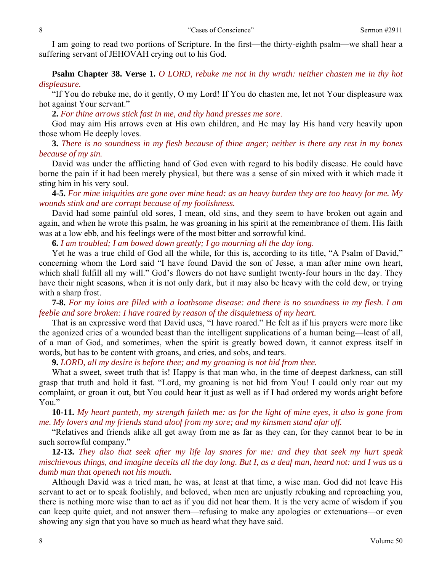I am going to read two portions of Scripture. In the first—the thirty-eighth psalm—we shall hear a suffering servant of JEHOVAH crying out to his God.

**Psalm Chapter 38. Verse 1.** *O LORD, rebuke me not in thy wrath: neither chasten me in thy hot displeasure.* 

"If You do rebuke me, do it gently, O my Lord! If You do chasten me, let not Your displeasure wax hot against Your servant."

**2.** *For thine arrows stick fast in me, and thy hand presses me sore*.

God may aim His arrows even at His own children, and He may lay His hand very heavily upon those whom He deeply loves.

**3.** *There is no soundness in my flesh because of thine anger; neither is there any rest in my bones because of my sin.* 

David was under the afflicting hand of God even with regard to his bodily disease. He could have borne the pain if it had been merely physical, but there was a sense of sin mixed with it which made it sting him in his very soul.

**4-5.** *For mine iniquities are gone over mine head: as an heavy burden they are too heavy for me. My wounds stink and are corrupt because of my foolishness.* 

David had some painful old sores, I mean, old sins, and they seem to have broken out again and again, and when he wrote this psalm, he was groaning in his spirit at the remembrance of them. His faith was at a low ebb, and his feelings were of the most bitter and sorrowful kind.

**6.** *I am troubled; I am bowed down greatly; I go mourning all the day long*.

Yet he was a true child of God all the while, for this is, according to its title, "A Psalm of David," concerning whom the Lord said "I have found David the son of Jesse, a man after mine own heart, which shall fulfill all my will." God's flowers do not have sunlight twenty-four hours in the day. They have their night seasons, when it is not only dark, but it may also be heavy with the cold dew, or trying with a sharp frost.

**7-8.** *For my loins are filled with a loathsome disease: and there is no soundness in my flesh. I am feeble and sore broken: I have roared by reason of the disquietness of my heart.* 

That is an expressive word that David uses, "I have roared." He felt as if his prayers were more like the agonized cries of a wounded beast than the intelligent supplications of a human being—least of all, of a man of God, and sometimes, when the spirit is greatly bowed down, it cannot express itself in words, but has to be content with groans, and cries, and sobs, and tears.

**9.** *LORD, all my desire is before thee; and my groaning is not hid from thee.* 

What a sweet, sweet truth that is! Happy is that man who, in the time of deepest darkness, can still grasp that truth and hold it fast. "Lord, my groaning is not hid from You! I could only roar out my complaint, or groan it out, but You could hear it just as well as if I had ordered my words aright before You."

**10-11.** *My heart panteth, my strength faileth me: as for the light of mine eyes, it also is gone from me. My lovers and my friends stand aloof from my sore; and my kinsmen stand afar off.* 

"Relatives and friends alike all get away from me as far as they can, for they cannot bear to be in such sorrowful company."

**12-13.** *They also that seek after my life lay snares for me: and they that seek my hurt speak mischievous things, and imagine deceits all the day long. But I, as a deaf man, heard not: and I was as a dumb man that openeth not his mouth.* 

Although David was a tried man, he was, at least at that time, a wise man. God did not leave His servant to act or to speak foolishly, and beloved, when men are unjustly rebuking and reproaching you, there is nothing more wise than to act as if you did not hear them. It is the very acme of wisdom if you can keep quite quiet, and not answer them—refusing to make any apologies or extenuations—or even showing any sign that you have so much as heard what they have said.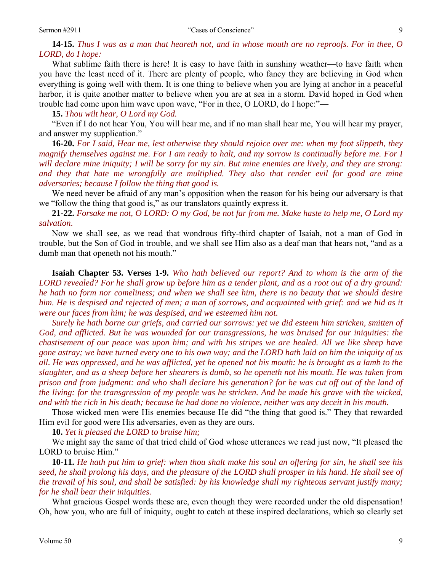**14-15.** *Thus I was as a man that heareth not, and in whose mouth are no reproofs. For in thee, O LORD, do I hope:* 

What sublime faith there is here! It is easy to have faith in sunshiny weather—to have faith when you have the least need of it. There are plenty of people, who fancy they are believing in God when everything is going well with them. It is one thing to believe when you are lying at anchor in a peaceful harbor, it is quite another matter to believe when you are at sea in a storm. David hoped in God when trouble had come upon him wave upon wave, "For in thee, O LORD, do I hope:"—

**15.** *Thou wilt hear, O Lord my God.* 

"Even if I do not hear You, You will hear me, and if no man shall hear me, You will hear my prayer, and answer my supplication."

**16-20.** *For I said, Hear me, lest otherwise they should rejoice over me: when my foot slippeth, they magnify themselves against me. For I am ready to halt, and my sorrow is continually before me. For I will declare mine iniquity; I will be sorry for my sin. But mine enemies are lively, and they are strong: and they that hate me wrongfully are multiplied. They also that render evil for good are mine adversaries; because I follow the thing that good is.* 

We need never be afraid of any man's opposition when the reason for his being our adversary is that we "follow the thing that good is," as our translators quaintly express it.

**21-22.** *Forsake me not, O LORD: O my God, be not far from me. Make haste to help me, O Lord my salvation*.

Now we shall see, as we read that wondrous fifty-third chapter of Isaiah, not a man of God in trouble, but the Son of God in trouble, and we shall see Him also as a deaf man that hears not, "and as a dumb man that openeth not his mouth."

**Isaiah Chapter 53. Verses 1-9.** *Who hath believed our report? And to whom is the arm of the LORD revealed? For he shall grow up before him as a tender plant, and as a root out of a dry ground: he hath no form nor comeliness; and when we shall see him, there is no beauty that we should desire him. He is despised and rejected of men; a man of sorrows, and acquainted with grief: and we hid as it were our faces from him; he was despised, and we esteemed him not.* 

*Surely he hath borne our griefs, and carried our sorrows: yet we did esteem him stricken, smitten of God, and afflicted. But he was wounded for our transgressions, he was bruised for our iniquities: the chastisement of our peace was upon him; and with his stripes we are healed. All we like sheep have gone astray; we have turned every one to his own way; and the LORD hath laid on him the iniquity of us all. He was oppressed, and he was afflicted, yet he opened not his mouth: he is brought as a lamb to the slaughter, and as a sheep before her shearers is dumb, so he openeth not his mouth. He was taken from prison and from judgment: and who shall declare his generation? for he was cut off out of the land of the living: for the transgression of my people was he stricken. And he made his grave with the wicked, and with the rich in his death; because he had done no violence, neither was any deceit in his mouth.* 

Those wicked men were His enemies because He did "the thing that good is." They that rewarded Him evil for good were His adversaries, even as they are ours.

**10.** *Yet it pleased the LORD to bruise him;* 

We might say the same of that tried child of God whose utterances we read just now, "It pleased the LORD to bruise Him."

**10-11.** *He hath put him to grief: when thou shalt make his soul an offering for sin, he shall see his seed, he shall prolong his days, and the pleasure of the LORD shall prosper in his hand. He shall see of the travail of his soul, and shall be satisfied: by his knowledge shall my righteous servant justify many; for he shall bear their iniquities.* 

What gracious Gospel words these are, even though they were recorded under the old dispensation! Oh, how you, who are full of iniquity, ought to catch at these inspired declarations, which so clearly set